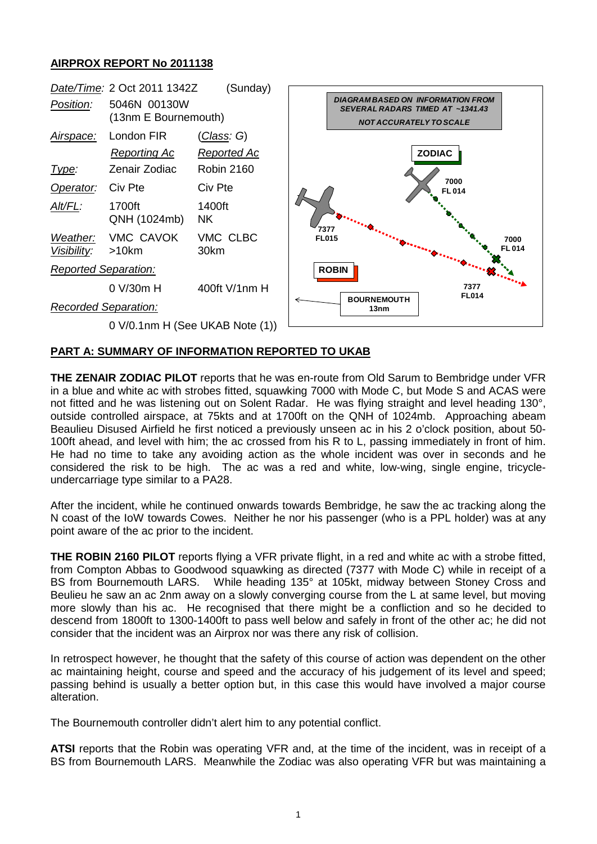## **AIRPROX REPORT No 2011138**



## **PART A: SUMMARY OF INFORMATION REPORTED TO UKAB**

**THE ZENAIR ZODIAC PILOT** reports that he was en-route from Old Sarum to Bembridge under VFR in a blue and white ac with strobes fitted, squawking 7000 with Mode C, but Mode S and ACAS were not fitted and he was listening out on Solent Radar. He was flying straight and level heading 130°, outside controlled airspace, at 75kts and at 1700ft on the QNH of 1024mb. Approaching abeam Beaulieu Disused Airfield he first noticed a previously unseen ac in his 2 o'clock position, about 50- 100ft ahead, and level with him; the ac crossed from his R to L, passing immediately in front of him. He had no time to take any avoiding action as the whole incident was over in seconds and he considered the risk to be high. The ac was a red and white, low-wing, single engine, tricycleundercarriage type similar to a PA28.

After the incident, while he continued onwards towards Bembridge, he saw the ac tracking along the N coast of the IoW towards Cowes. Neither he nor his passenger (who is a PPL holder) was at any point aware of the ac prior to the incident.

**THE ROBIN 2160 PILOT** reports flying a VFR private flight, in a red and white ac with a strobe fitted, from Compton Abbas to Goodwood squawking as directed (7377 with Mode C) while in receipt of a BS from Bournemouth LARS. While heading 135° at 105kt, midway between Stoney Cross and Beulieu he saw an ac 2nm away on a slowly converging course from the L at same level, but moving more slowly than his ac. He recognised that there might be a confliction and so he decided to descend from 1800ft to 1300-1400ft to pass well below and safely in front of the other ac; he did not consider that the incident was an Airprox nor was there any risk of collision.

In retrospect however, he thought that the safety of this course of action was dependent on the other ac maintaining height, course and speed and the accuracy of his judgement of its level and speed; passing behind is usually a better option but, in this case this would have involved a major course alteration.

The Bournemouth controller didn't alert him to any potential conflict.

**ATSI** reports that the Robin was operating VFR and, at the time of the incident, was in receipt of a BS from Bournemouth LARS. Meanwhile the Zodiac was also operating VFR but was maintaining a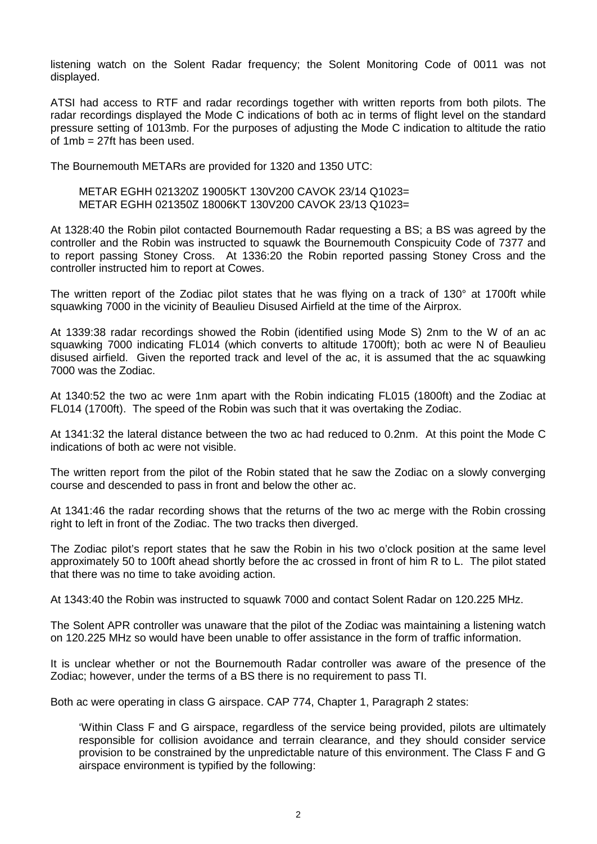listening watch on the Solent Radar frequency; the Solent Monitoring Code of 0011 was not displayed.

ATSI had access to RTF and radar recordings together with written reports from both pilots. The radar recordings displayed the Mode C indications of both ac in terms of flight level on the standard pressure setting of 1013mb. For the purposes of adjusting the Mode C indication to altitude the ratio of 1mb = 27ft has been used.

The Bournemouth METARs are provided for 1320 and 1350 UTC:

METAR EGHH 021320Z 19005KT 130V200 CAVOK 23/14 Q1023= METAR EGHH 021350Z 18006KT 130V200 CAVOK 23/13 Q1023=

At 1328:40 the Robin pilot contacted Bournemouth Radar requesting a BS; a BS was agreed by the controller and the Robin was instructed to squawk the Bournemouth Conspicuity Code of 7377 and to report passing Stoney Cross. At 1336:20 the Robin reported passing Stoney Cross and the controller instructed him to report at Cowes.

The written report of the Zodiac pilot states that he was flying on a track of 130° at 1700ft while squawking 7000 in the vicinity of Beaulieu Disused Airfield at the time of the Airprox.

At 1339:38 radar recordings showed the Robin (identified using Mode S) 2nm to the W of an ac squawking 7000 indicating FL014 (which converts to altitude 1700ft); both ac were N of Beaulieu disused airfield. Given the reported track and level of the ac, it is assumed that the ac squawking 7000 was the Zodiac.

At 1340:52 the two ac were 1nm apart with the Robin indicating FL015 (1800ft) and the Zodiac at FL014 (1700ft). The speed of the Robin was such that it was overtaking the Zodiac.

At 1341:32 the lateral distance between the two ac had reduced to 0.2nm. At this point the Mode C indications of both ac were not visible.

The written report from the pilot of the Robin stated that he saw the Zodiac on a slowly converging course and descended to pass in front and below the other ac.

At 1341:46 the radar recording shows that the returns of the two ac merge with the Robin crossing right to left in front of the Zodiac. The two tracks then diverged.

The Zodiac pilot's report states that he saw the Robin in his two o'clock position at the same level approximately 50 to 100ft ahead shortly before the ac crossed in front of him R to L. The pilot stated that there was no time to take avoiding action.

At 1343:40 the Robin was instructed to squawk 7000 and contact Solent Radar on 120.225 MHz.

The Solent APR controller was unaware that the pilot of the Zodiac was maintaining a listening watch on 120.225 MHz so would have been unable to offer assistance in the form of traffic information.

It is unclear whether or not the Bournemouth Radar controller was aware of the presence of the Zodiac; however, under the terms of a BS there is no requirement to pass TI.

Both ac were operating in class G airspace. CAP 774, Chapter 1, Paragraph 2 states:

'Within Class F and G airspace, regardless of the service being provided, pilots are ultimately responsible for collision avoidance and terrain clearance, and they should consider service provision to be constrained by the unpredictable nature of this environment. The Class F and G airspace environment is typified by the following: